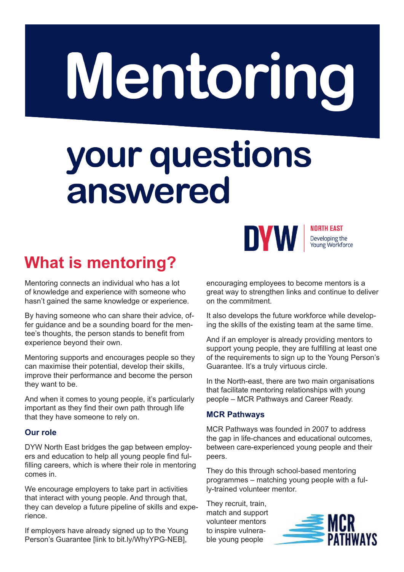## Mentoring

# your questions<br>answered



NORTH EAST Developing the Young Workforce

### **What is mentoring?**

Mentoring connects an individual who has a lot of knowledge and experience with someone who hasn't gained the same knowledge or experience.

By having someone who can share their advice, offer guidance and be a sounding board for the mentee's thoughts, the person stands to benefit from experience beyond their own.

Mentoring supports and encourages people so they can maximise their potential, develop their skills, improve their performance and become the person they want to be.

And when it comes to young people, it's particularly important as they find their own path through life that they have someone to rely on.

#### **Our role**

DYW North East bridges the gap between employers and education to help all young people find fulfilling careers, which is where their role in mentoring comes in.

We encourage employers to take part in activities that interact with young people. And through that, they can develop a future pipeline of skills and experience.

If employers have already signed up to the Young Person's Guarantee [link to bit.ly/WhyYPG-NEB],

encouraging employees to become mentors is a great way to strengthen links and continue to deliver on the commitment.

It also develops the future workforce while developing the skills of the existing team at the same time.

And if an employer is already providing mentors to support young people, they are fulfilling at least one of the requirements to sign up to the Young Person's Guarantee. It's a truly virtuous circle.

In the North-east, there are two main organisations that facilitate mentoring relationships with young people – MCR Pathways and Career Ready.

#### **MCR Pathways**

MCR Pathways was founded in 2007 to address the gap in life-chances and educational outcomes, between care-experienced young people and their peers.

They do this through school-based mentoring programmes – matching young people with a fully-trained volunteer mentor.

They recruit, train, match and support volunteer mentors to inspire vulnerable young people